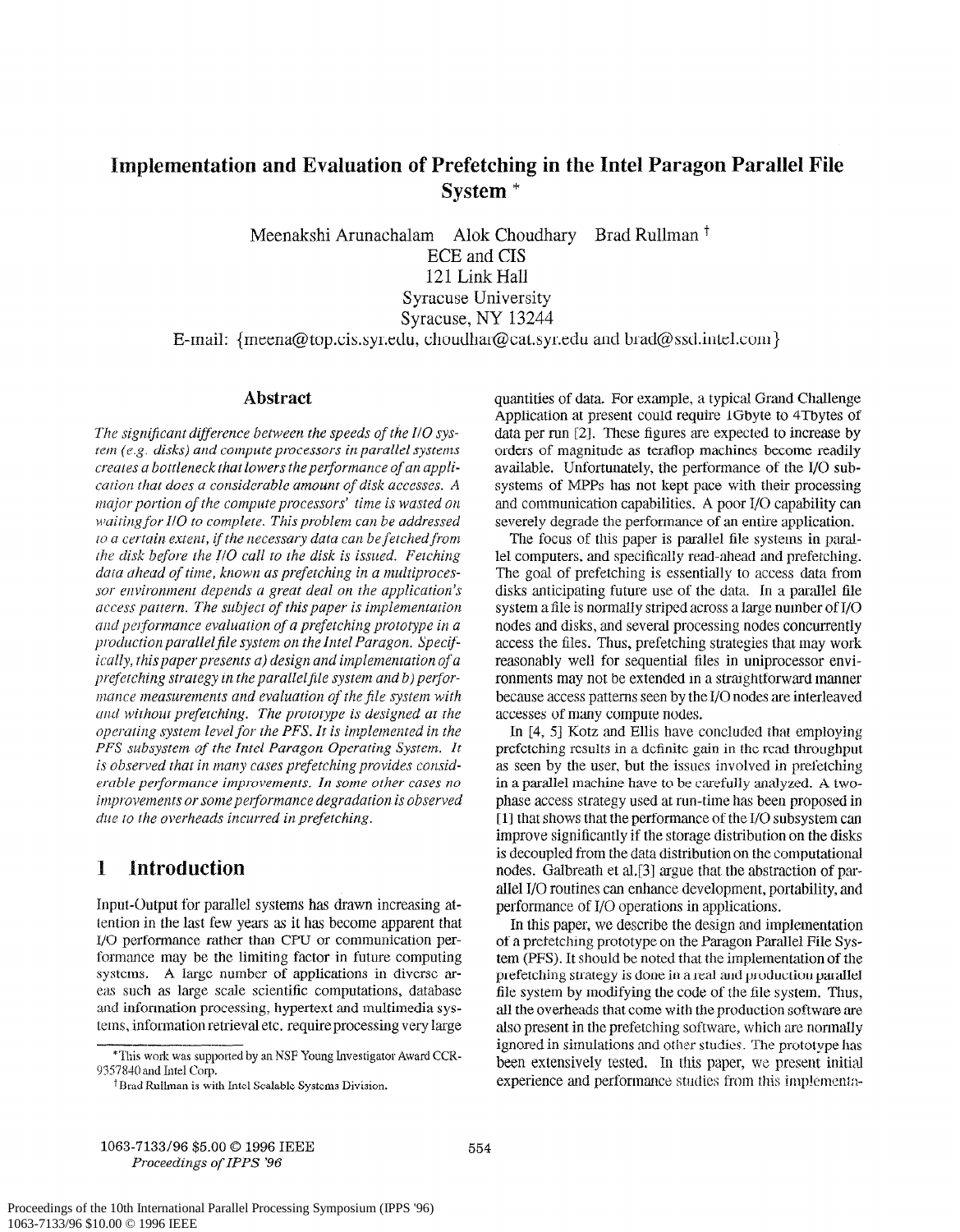# Implementation and Evaluation of Prefetching in the Intel Paragon Parallel File System \*

Meenakshi Arunachalam Alok Choudhary Brad Rullman + ECE and CIS 121 Link Hall Syracuse University Syracuse, NY 13244 E-mail:  ${meena@top.cis.syr.edu, choudhar@cat.syr.edu and brad@ssd.intel.com}$ 

#### Abstract

The significant difference between the speeds of the I/O system (e.g. disks) and compute processors in parallel systems creates a bottleneck that lowers the performance of an application that does a considerable amount of disk accesses. A major portion of the compute processors' time is wasted on waiting for I/O to complete. This problem can be addressed to a certain extent, if the necessary data can be fetched from the disk before the I/O call to the disk is issued. Fetching data ahead of time, known as prefetching in a multiprocessor environment depends a great deal on the application's access pattern. The subject of this puper is implementation and performance evaluation of a prefetching prototype in a production parallel file system on the Intel Paragon. Specif $ically, this paper presents a) design and implementation of a$  $prefetching strategy in the parallel file system and b) perform$ mance measurements and evaluation of the file system with and without prefetching. The prototype is designed at the operating system level for the PFS. It is implemented in the PFS subsystem of the Intel Paragon Operating System. It is observed that in many cases prefetching provides considerable performance improvements. In some other cases no improvements or some performance degradation is observed due to the overheads incurred in prefetching.

### 1. Introduction

Input-Output for parallel systems has drawn increasing atlention in the last few years as it has become apparent that I/O performance rather than CPU or communication performance may be the limiting factor in future computing systems. A large number of applications in diverse areas such as large scale scientific computations, database and information processing, hypertext and multimedia systems, information retrieval etc. require processing very large

quantities of data. For example, a typical Grand Challenge Application at present could require 1Gbyte to 4Tbytes of data per run [Z]. These figures are expected to increase by orders of magnitude as teraflop machines become readily available. Unfortunately, the performance of the I/O subsystems of MpPs has not kept pace with their processing and communication capabilities. A poor I/O capability can severely degrade the performance of an entire application.

The focus of this paper is parallel file systems in parallel computers, and specifically read-ahead and prefetching. The goal of prefetching is essentially to access data from disks anticipating future use of the data. In a parallel file system a file is normally striped across a large number of I/O nodes and disks, and several processing nodes concurrently access the files. Thus, prefetching strategies that may work reasonably well for sequential files in uniprocessor environments may not be extended in a straightforward manner because access patterns seen by the I/O nodes are interleaved accesses of many compute nodes.

In  $[4, 5]$  Kotz and Ellis have concluded that employing prefetching results in a definite gain in the read throughput as seen by the user, but the issues involved in prefetching in a parallel machine have to be cxefully analyzed. A twophase access strategy used at run-time has been proposed in [l] that shows that the performance of the I/O subsystem can improve significantly if the storage distribution on the disks is decoupled from the data distribution on the computational nodes. Galbreath et al. $[3]$  argue that the abstraction of parallel I/O routines can enhance development, portability, and performance of I/O operations in applications.

In this paper, we describe the design and implementation of a prefetching prototype on the Paragon Parallel File System (PFS). It should be noted that the implementation of the prefetching strategy is done in a real and production parallel file system by modifying the code of the file system. Thus, all the overheads that come with the production software are also present in the prefetching software, which are normally ignored in simulations and other studies. The prototype has been extensively tested. In this paper, we present initial experience and performance studies from this implementa-

1063-7133/96 \$5.00 0 1996 IEEE Proceedings of IPPS '96

<sup>\*</sup>This work was supported by an NSF Young Investigator Award CCR-9357840 and Intel Corp.

<sup>&</sup>lt;sup>†</sup> Brad Rullman is with Intel Scalable Systems Division.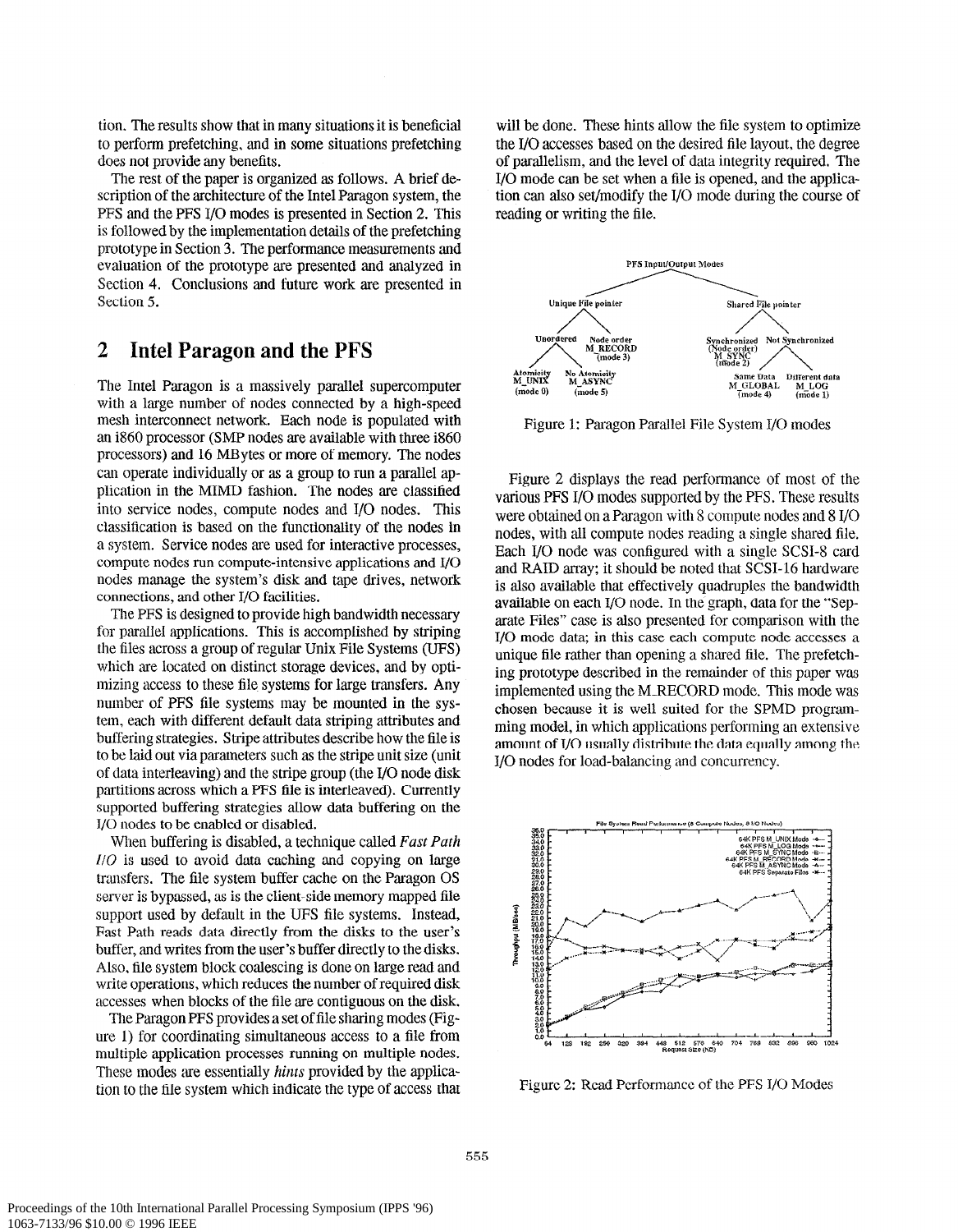tion. The results show that in many situations it is beneficial to perform prefetching, and in some situations prefetching does not provide any benefits.

The rest of the paper is organized as follows. A brief description of the architecture of the Intel Paragon system, the PFS and the PFS I/O modes is presented in Section 2. This is followed by the implementation details of the prefetching prototype in Section 3. The performance measurements and evaluation of the prototype are presented and analyzed in Section 4. Conclusions and future work are presented in Section 5.

### 2 Intel Paragon and the PFS

The Intel Paragon is a massively parallel supercomputer with a large number of nodes connected by a high-speed mesh interconnect network. Each node is populated with an i860 processor (SMP nodes are available with three i860 processors) and 16 MBytes or more of memory. The nodes can operate individually or as a group to run a parallel application in the MIMD fashion. The nodes are classified into service nodes, compute nodes and I/O nodes. This classification is based on the functionality of the nodes in a system. Service nodes are used for interactive processes, compute nodes run compute-intensive applications and I/O nodes manage the system's disk and tape drives, network connections, and other I/O facilities.

The PFS is designed to provide high bandwidth necessary for parallel appIications. This is accomplished by striping the files across a group of regular Unix File Systems (UFS) which are located on distinct storage devices, and by optimizing access to these file systems for large transfers. Any number of PFS file systems may be mounted in the system, each with different default data striping attributes and buffering strategies. Stripe attributes describe how the file is to be laid out via parameters such as the stripe unit size (unit of data interleaving) and the stripe group (the I/O node disk partitions across which a PFS file is interleaved). Currently supported buffering strategies allow data buffering on the I/O nodes to be enabled or disabled.

When buffering is disabled, a technique called Fast Path  $I/O$  is used to avoid data caching and copying on large transfers. The file system buffer cache on the Paragon OS server is bypassed, as is the client-side memory mapped file support used by default in the UFS file systems. Instead, Fast Path reads data directly from the disks to the user's buffer, and writes from the user's buffer directly to the disks. Also, file system block coalescing is done on large read and write operations, which reduces the number of required disk accesses when blocks of the file are contiguous on the disk.

The Paragon PFS provides a set of file sharing modes (Figure 1) for coordinating simultaneous access to a file from multiple application processes running on multiple nodes. These modes are essentially hints provided by the application to the file system which indicate the type of access that will be done. These hints allow the file system to optimize the I/O accesses based on the desired file layout, the degree of parallelism, and the level of data integrity required. The I/O mode can be set when a file is opened, and the application can also set/modify the I/O mode during the course of reading or writing the file.



Figure 1: Paragon Parallel File System I/O modes

Figure 2 displays the read performance of most of the various PFS I/O modes supported by the PFS. These results were obtained on a Paragon with 8 compute nodes and 8 I/O nodes, with all compute nodes reading a single shared file. Each I/O node was configured with a single SCSI-8 card and RAID array: it should be noted that SCSI- 16 hardware is also available that effectively quadruples the bandwidth available on each I/O node. In the graph, data for the "Separate Files" case is also presented for comparison with the I/O mode data; in this case each compute node accesses a unique file rather than opening a shared file. The prefetching prototype described in the remainder of this paper was implemented using the M-RECORD mode. This mode was chosen because it is well suited for the SPMD programming model, in which applications performing an extensive amount of I/O usually distribute the data equally among the I/O nodes for load-balancing and concurrency.



Figure 2: Read Performance of the PFS I/O Modes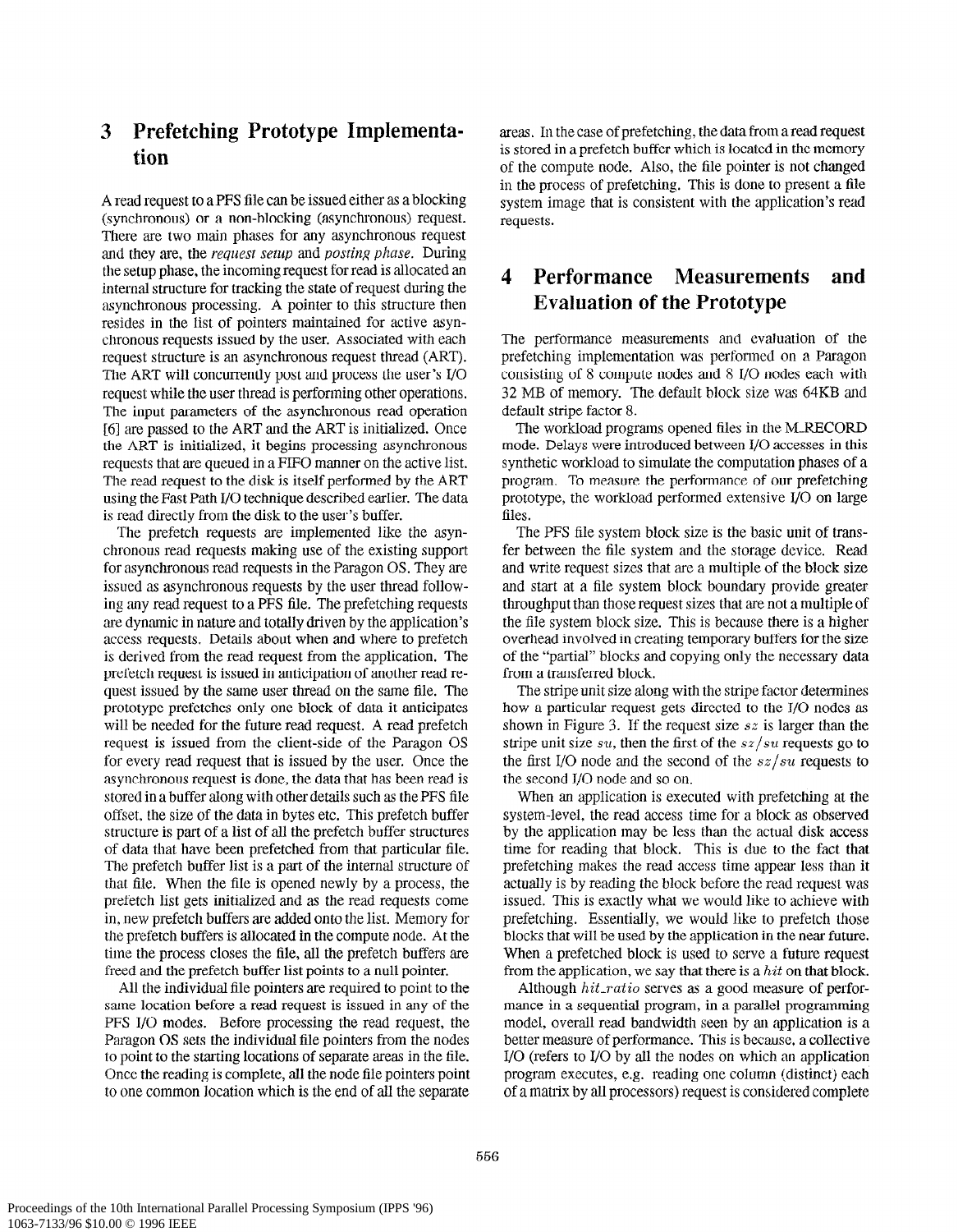# 3 Prefetching Prototype Implementation

A read request to aPFS file can be issued either as a blocking (synchronous) or a non-blocking (asynchronous) request. There are two main phases for any asynchronous request and they are, the *request setup* and *posting phase*. During the setup phase, the incoming request for read is allocated an interrual structure for tracking the state of request during the asynchronous processing. A pointer to this structure then resides in the list of pointers maintained for active asynchronous requests issued by the user. Associated with each request structure is an asynchronous request thread (ART). The ART will concurrently post and process the user's I/O request while the user thread is performing other operations. The input parameters of the asynchronous read operation [6] are passed to the ART and the ART is initialized. Once the ART is initialized, it begins processing asynchronous requests that are queued in a FIFO manner on the active list. The read request to the disk is itself performed by the ART using the Fast Path I/O technique described earlier. The data is read directly from the disk to the user's buffer.

The prefetch requests are implemented like the asynchronous read requests making use of the existing support for asynchronous read requests in the Paragon OS. They are issued as asynchronous requests by the user thread following any read request to a PFS file. The prefetching requests 'are dynamic in nature and totally driven by the application's access requests. Details about when and where to prefetch is derived from the read request from the application. The prefetch request is issued in anticipation of another read request issued by the same user thread on the same file. The prototype prefetches only one block of data it anticipates will be needed for the future read request. A read prefetch request is issued from the client-side of the Paragon OS for every read request that is issued by the user. Once the asynchronous request is done, the data that has been read is stored in a buffer along with other details such as the PFS file offset, the size of the data in bytes etc. This prefetch buffer structure is part of a list of all the prefetch buffer structures of data that have been prefetched from that particular file. The prefetch buffer list is a part of the internal structure of that file. When the Ele is opened newly by a process, the prefetch list gets initiahzed and as the read requests come in, new prefetch buffers are added onto the list. Memory for the prefetch buffers is allocated in the compute node. At the time the process closes the Ele, all the prefetch buffers are freed and the prefetch buffer list points to a null pointer.

All the individual file pointers are required to point to the same location before a read request is issued in any of the PFS I/O modes. Before processing the read request, the Paragon OS sets the individual file pointers from the nodes to point to the starting locations of separate areas in the file. Once the reading is complete, all the node file pointers point to one common location which is the end of all the separate

areas. In the case of prefetching, the data from a read request is stored in a prefetch buffer which is located in the memory of the compute node. Also, the file pointer is not changed in the process of prefetching. This is done to present a file system image that is consistent with the application's read requests.

# 4 Performance Measurements and Evaluation of the Prototype

The performance measurements and evaluation of the prefetching implementation was performed on a Paragon consisting of 8 compute nodes and 8 I/O nodes each with 32 MB of memory. The default block size was 64KB and default stripe factor 8.

The workload programs opened files in the M\_RECORD mode. Delays were introduced between I/O accesses in this synthetic workload to simulate the computation phases of a program. To measure the performance of our prefetching prototype, the workload performed extensive I/O on large files.

The PFS file system block size is the basic unit of transfer between the file system and the storage device. Read and write request sizes that are a multiple of the block size and start at a file system block boundary provide greater throughput than those request sizes that are not a multiple of the file system block size. This is because there is a higher overhead involved in creating temporary buffers for the size of the "partial" blocks and copying only the necessary data from a transferred block.

The stripe unit size along with the stripe factor determines how a particular request gets directed to the I/O nodes as shown in Figure 3. If the request size  $sz$  is larger than the stripe unit size  $su$ , then the first of the  $sz/su$  requests go to the first I/O node and the second of the  $sz/su$  requests to the second I/O node and so on.

When an application is executed with prefetching at the system-level, the read access time for a block as observed by the application may be less than the actual disk access time for reading that block. This is due to the fact that prefetching makes the read access time appear less than it actually is by reading the block before the read request was issued. This is exactly what we would like to achieve with prefetching. Essentially, we would like to prefetch those blocks that will be used by the application in the near future. When a prefetched block is used to serve a future request from the application, we say that there is a  $hit$  on that block.

Although hit-ratio serves as a good measure of performance in a sequential program, in a parallel programming model, overall read bandwidth seen by an application is a better measure of performance. This is because, a collective I/O (refers to I/O by all the nodes on which an application program executes, e.g. reading one column (distinct) each of a matrix by all processors) request is considered complete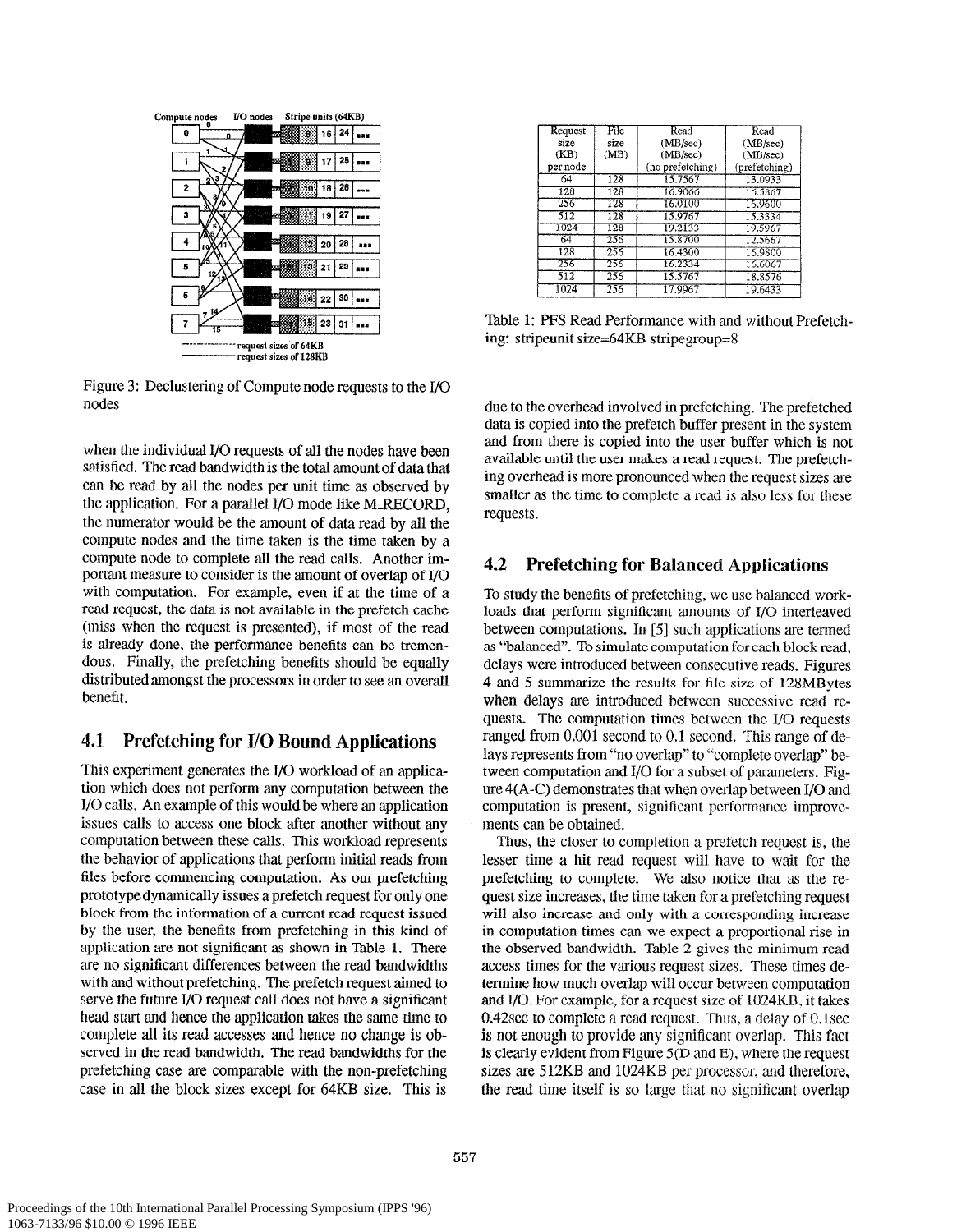

Figure 3: Declustering of Compute node requests to the I/O nodes

when the individual I/O requests of all the nodes have been satisfied. The read bandwidth is the total amount of data that can be read by all the nodes per unit time as observed by the application. For a parallel I/O mode like M\_RECORD, the numerator would be the amount of data read by all the compute nodes and the time taken is the time taken by a compute node to complete all the read calls. Another important measure to consider is the amount of overlap of I/O with computation. For example, even if at the time of a read request, the data is not available in the prefetch cache (miss when the request is presented), if most of the read is already done, the performance benefits can be tremendous. Finally, the prefetching benefits should be equally distributed amongst the processors in order to see an overall benefit.

### 4.1. Prefetching for I/O Bound Applications

This experiment generates the I/O workload of an application which does not perform any computation between the I/O calls. An example of this would be where an application issues calls to access one block after another without any computation between these calls. This workload represents the behavior of applications that perform initial reads from files before commencing computation. As our prefetching prototypedynamically issues a prefetch request for only one block from the information of a current read request issued by the user, the benefits from prefetching in this kind of application are not significant as shown in Table 1. There are no significant differences between the read bandwidths with and without prefetching. The prefetch request aimed to serve the future I/O request call does not have a significant head start and hence the application takes the same time to complete all its read accesses and hence no change is observed in the read bandwidth. The read bandwidths for the preFetching case are comparable with the non-prefetching case in all the block sizes except for 64KB size. This is

| Request  | File | Read             | Read          |
|----------|------|------------------|---------------|
| size     | size | (MB/sec)         | (MB/sec)      |
| (KB)     | (MB) | (MB/sec)         | (MB/sec)      |
| per node |      | (no prefetching) | (prefetching) |
| 64       | 128  | 15.7567          | 13.0933       |
| 128      | 128  | 16,9066          | 16.5867       |
| 256      | 128  | 16.0100          | 16.9600       |
| 312      | 128  | 15.9767          | 15.3334       |
| 1024     | 128  | 19.2133          | 19.5967       |
| 64       | 256  | 15.8700          | 12.5667       |
| 128      | 256  | 16.4300          | 16.9800       |
| 256      | 256  | 16.2334          | 16.6067       |
| 512      | 256  | 15.5767          | 18.8576       |
| 1024     | 256  | 17.9967          | 19.6433       |

Table 1: PFS Read Performance with and without Prefetching: stripeunit size=64KB stripegroup=8

due to the overhead involved in prefetching. The prefetched data is copied into the prefetch buffer present in the system and from there is copied into the user buffer which is not available until the user makes a read request. The prefetching overhead is more pronounced when the request sizes are smaller as the time to complete a read is also less for these requests.

### 4.2 Prefetching for Balanced Applications

To study the benefits of prefetching, we use balanced workloads that perform significant amounts of I/O interleaved between computations. In [5] such applications are termed as "balanced". To simulate computation for each block read, delays were introduced between consecutive reads. Figures 4 and 5 summarize the results for file size of 128MBytes when delays are introduced between successive read requests. The computation times between the I/O requests ranged from 0.001 second to 0.1 second. This range of delays represents from "no overlap" to "complete overlap" between computation and I/O for a subset of parameters. Figure 4(A-C) demonstrates that when overlap between I/O and computation is present, significant performance improvcments can be obtained.

Thus, the closer to completion a prefelch request is, the lesser time a hit read request will have to wait for the prefetching to complete. We also notice that as the request size increases, the time taken for a prefetching request will also increase and only with a corresponding increase in computation times can we expect a proportional rise in the observed bandwidth. Table 2 gives the minimum read access times for the various request sizes. These times determine how much overlap will occur between computation and I/O. For example, for a request size of 1024KB. it takes 0.42sec to complete a read request. Thus, a delay of 0.1 sec is not enough to provide any significant overlap. This fact is clearly evident from Figure  $5(D \text{ and } E)$ , where the request sizes are 512KB and 1024KB per processor, and therefore, the read time itself is so large that no significant overlap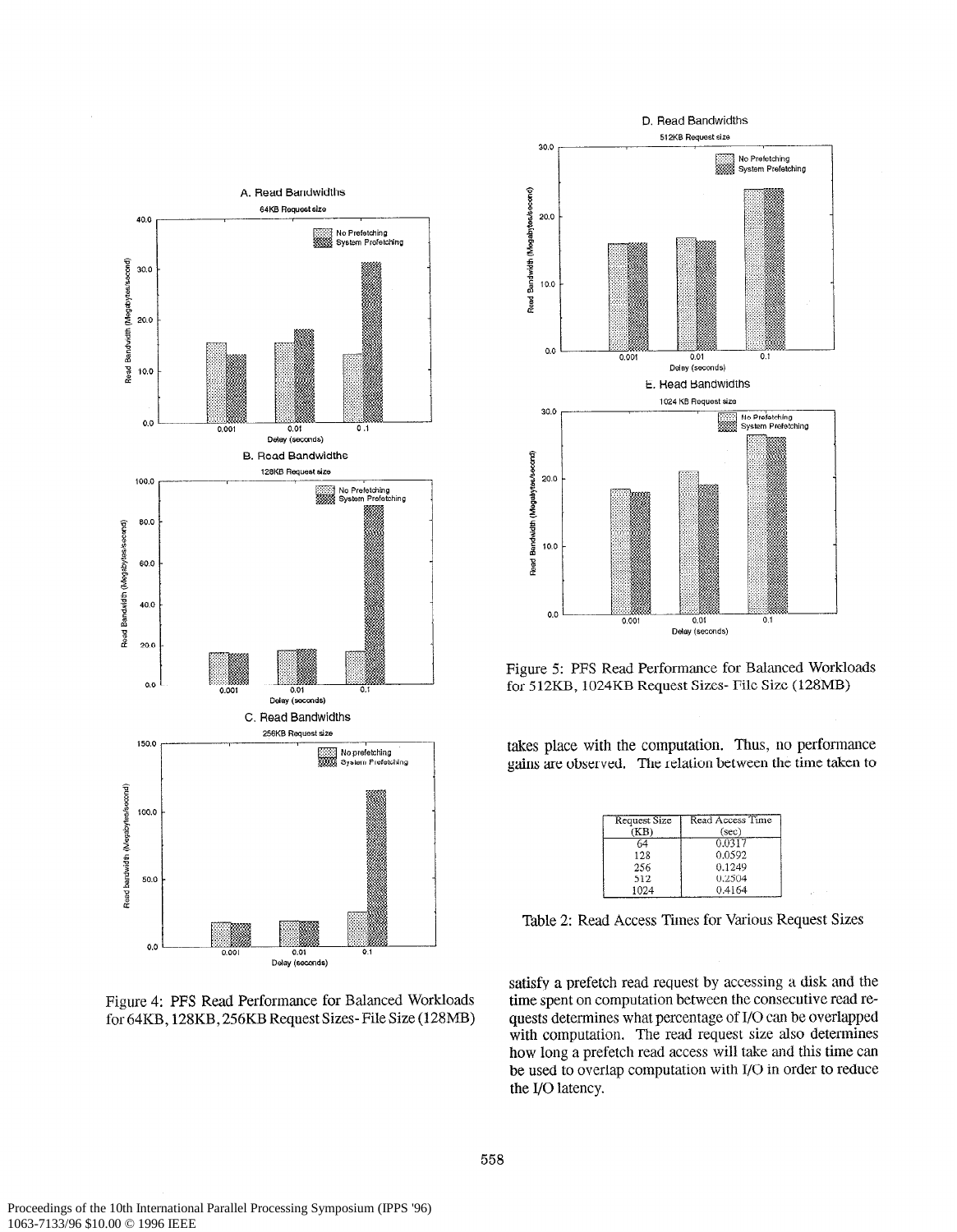

Figure 4: PFS Read Performance for Balanced Workloads for 64KB, 128KB, 256KB Request Sizes- File Size (128MB)



Figure 5: PFS Read Performance for Balanced WorkIoads for 512KB, 1024KB Request Sizes- File Size (128MB)

takes place with the computation. Thus, no performance gains are observed. The relation between the time taken to

| <b>Request Size</b><br>(KB) | Read Access Time<br>(sec) |
|-----------------------------|---------------------------|
| 54                          | 0.0317                    |
| 12.8                        | 0.0592                    |
| 256                         | 0.1249                    |
| 512                         | 0.2504                    |
| 1024                        | 0.4164                    |

Table 2: Read Access Times for Various Request Sizes

satisfy a prefetch read request by accessing a disk and the time spent on computation between the consecutive read requests determines what percentage of I/O can be overtapped with computation. The read request size also determines how long a prefetch read access will take and this time can be used to overlap computation with I/O in order to reduce the I/O latency.